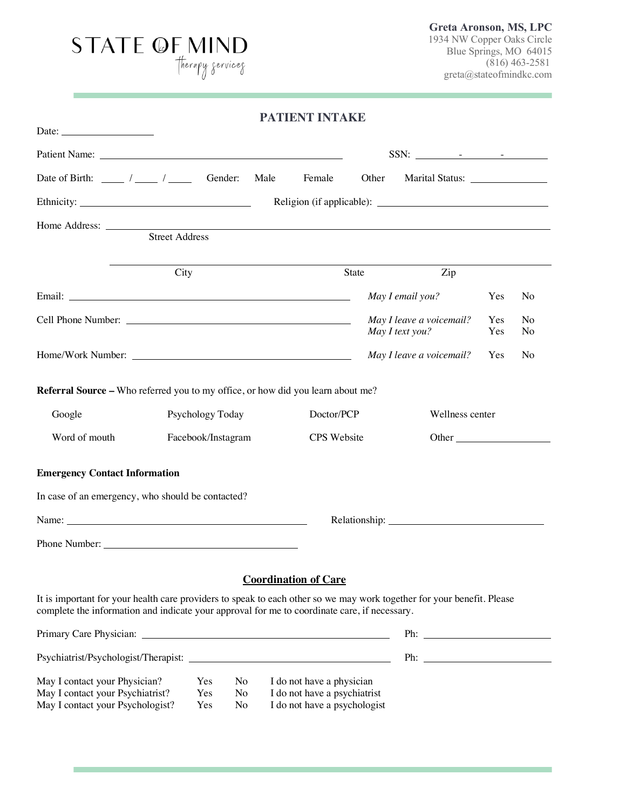# STATE OF MIND

**Greta Aronson, MS, LPC** 1934 NW Copper Oaks Circle Blue Springs, MO 64015 (816) 463-2581 greta@stateofmindkc.com

|                                                                                                                                                                                                                        |                    |                            |      | <b>PATIENT INTAKE</b>                                                                     |       |       |                                                                                                                                                                                                                                |            |                      |
|------------------------------------------------------------------------------------------------------------------------------------------------------------------------------------------------------------------------|--------------------|----------------------------|------|-------------------------------------------------------------------------------------------|-------|-------|--------------------------------------------------------------------------------------------------------------------------------------------------------------------------------------------------------------------------------|------------|----------------------|
| Date: $\frac{1}{\sqrt{1-\frac{1}{2}} \cdot \frac{1}{2}}$                                                                                                                                                               |                    |                            |      |                                                                                           |       |       |                                                                                                                                                                                                                                |            |                      |
|                                                                                                                                                                                                                        |                    |                            |      |                                                                                           |       |       |                                                                                                                                                                                                                                |            |                      |
| Date of Birth: $\frac{\ }{\ }$ / _______ / ________ Gender:                                                                                                                                                            |                    |                            | Male | Female                                                                                    |       | Other | Marital Status: _________________                                                                                                                                                                                              |            |                      |
|                                                                                                                                                                                                                        |                    |                            |      |                                                                                           |       |       |                                                                                                                                                                                                                                |            |                      |
| <b>Street Address</b>                                                                                                                                                                                                  |                    |                            |      |                                                                                           |       |       |                                                                                                                                                                                                                                |            |                      |
|                                                                                                                                                                                                                        | City               |                            |      |                                                                                           | State |       | Zip                                                                                                                                                                                                                            |            |                      |
|                                                                                                                                                                                                                        |                    |                            |      |                                                                                           |       |       | May I email you?                                                                                                                                                                                                               | Yes        | No                   |
|                                                                                                                                                                                                                        |                    |                            |      |                                                                                           |       |       | May I leave a voicemail?<br>May I text you?                                                                                                                                                                                    | Yes<br>Yes | N <sub>o</sub><br>No |
|                                                                                                                                                                                                                        |                    |                            |      |                                                                                           |       |       | May I leave a voicemail?                                                                                                                                                                                                       | Yes        | N <sub>o</sub>       |
| Referral Source - Who referred you to my office, or how did you learn about me?                                                                                                                                        |                    |                            |      |                                                                                           |       |       |                                                                                                                                                                                                                                |            |                      |
| Google                                                                                                                                                                                                                 | Psychology Today   |                            |      | Doctor/PCP                                                                                |       |       | Wellness center                                                                                                                                                                                                                |            |                      |
| Word of mouth                                                                                                                                                                                                          | Facebook/Instagram |                            |      | CPS Website                                                                               |       |       | Other                                                                                                                                                                                                                          |            |                      |
| <b>Emergency Contact Information</b>                                                                                                                                                                                   |                    |                            |      |                                                                                           |       |       |                                                                                                                                                                                                                                |            |                      |
| In case of an emergency, who should be contacted?                                                                                                                                                                      |                    |                            |      |                                                                                           |       |       |                                                                                                                                                                                                                                |            |                      |
|                                                                                                                                                                                                                        |                    |                            |      |                                                                                           |       |       | Relationship: Network of the state of the state of the state of the state of the state of the state of the state of the state of the state of the state of the state of the state of the state of the state of the state of th |            |                      |
| Phone Number:                                                                                                                                                                                                          |                    |                            |      |                                                                                           |       |       |                                                                                                                                                                                                                                |            |                      |
|                                                                                                                                                                                                                        |                    |                            |      | <b>Coordination of Care</b>                                                               |       |       |                                                                                                                                                                                                                                |            |                      |
| It is important for your health care providers to speak to each other so we may work together for your benefit. Please<br>complete the information and indicate your approval for me to coordinate care, if necessary. |                    |                            |      |                                                                                           |       |       |                                                                                                                                                                                                                                |            |                      |
|                                                                                                                                                                                                                        |                    |                            |      |                                                                                           |       |       |                                                                                                                                                                                                                                |            |                      |
|                                                                                                                                                                                                                        |                    |                            |      |                                                                                           |       |       | Ph:                                                                                                                                                                                                                            |            |                      |
| May I contact your Physician?<br>May I contact your Psychiatrist?<br>May I contact your Psychologist?                                                                                                                  | Yes<br>Yes<br>Yes  | No<br>No<br>N <sub>o</sub> |      | I do not have a physician<br>I do not have a psychiatrist<br>I do not have a psychologist |       |       |                                                                                                                                                                                                                                |            |                      |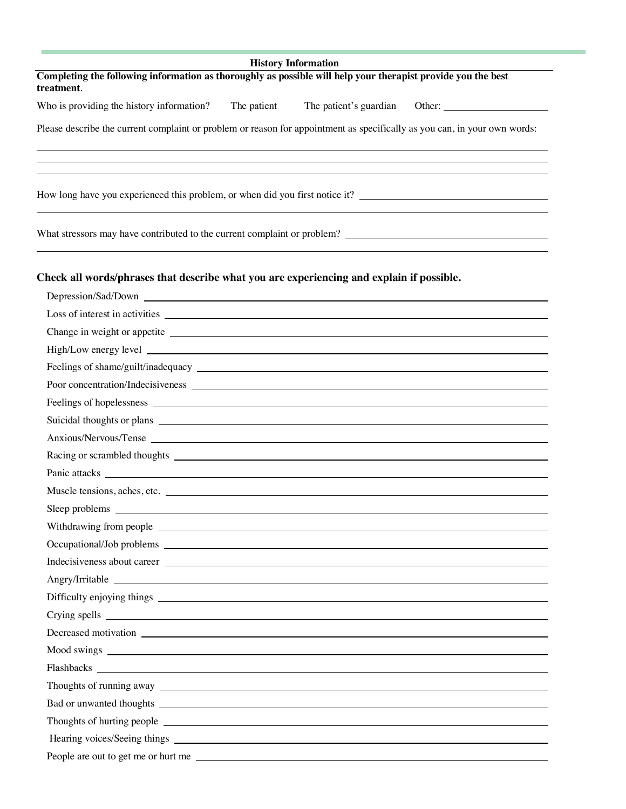| <b>History Information</b>                                                                                                                                                                                                          |               |  |  |  |  |  |  |
|-------------------------------------------------------------------------------------------------------------------------------------------------------------------------------------------------------------------------------------|---------------|--|--|--|--|--|--|
| Completing the following information as thoroughly as possible will help your therapist provide you the best<br>treatment.                                                                                                          |               |  |  |  |  |  |  |
| Who is providing the history information?<br>The patient<br>The patient's guardian                                                                                                                                                  | Other: $\_\_$ |  |  |  |  |  |  |
| Please describe the current complaint or problem or reason for appointment as specifically as you can, in your own words:                                                                                                           |               |  |  |  |  |  |  |
| How long have you experienced this problem, or when did you first notice it?                                                                                                                                                        |               |  |  |  |  |  |  |
|                                                                                                                                                                                                                                     |               |  |  |  |  |  |  |
| Check all words/phrases that describe what you are experiencing and explain if possible.                                                                                                                                            |               |  |  |  |  |  |  |
| Depression/Sad/Down League and Sales and Sales and Sales and Sales and Sales and Sales and Sales and Sales and Sales and Sales and Sales and Sales and Sales and Sales and Sales and Sales and Sales and Sales and Sales and S      |               |  |  |  |  |  |  |
|                                                                                                                                                                                                                                     |               |  |  |  |  |  |  |
|                                                                                                                                                                                                                                     |               |  |  |  |  |  |  |
| High/Low energy level <u>example</u> and the same of the same of the same of the same of the same of the same of the same of the same of the same of the same of the same of the same of the same of the same of the same of the sa |               |  |  |  |  |  |  |
|                                                                                                                                                                                                                                     |               |  |  |  |  |  |  |
|                                                                                                                                                                                                                                     |               |  |  |  |  |  |  |
|                                                                                                                                                                                                                                     |               |  |  |  |  |  |  |
|                                                                                                                                                                                                                                     |               |  |  |  |  |  |  |
| Anxious/Nervous/Tense Learning and the contract of the contract of the contract of the contract of the contract of the contract of the contract of the contract of the contract of the contract of the contract of the contrac      |               |  |  |  |  |  |  |
|                                                                                                                                                                                                                                     |               |  |  |  |  |  |  |
|                                                                                                                                                                                                                                     |               |  |  |  |  |  |  |
| Muscle tensions, aches, etc.                                                                                                                                                                                                        |               |  |  |  |  |  |  |
| Sleep problems                                                                                                                                                                                                                      |               |  |  |  |  |  |  |
|                                                                                                                                                                                                                                     |               |  |  |  |  |  |  |
|                                                                                                                                                                                                                                     |               |  |  |  |  |  |  |
|                                                                                                                                                                                                                                     |               |  |  |  |  |  |  |
| Angry/Irritable experience and the state of the state of the state of the state of the state of the state of the state of the state of the state of the state of the state of the state of the state of the state of the state      |               |  |  |  |  |  |  |
|                                                                                                                                                                                                                                     |               |  |  |  |  |  |  |
|                                                                                                                                                                                                                                     |               |  |  |  |  |  |  |
| Decreased motivation experience and the set of the set of the set of the set of the set of the set of the set of the set of the set of the set of the set of the set of the set of the set of the set of the set of the set of      |               |  |  |  |  |  |  |
|                                                                                                                                                                                                                                     |               |  |  |  |  |  |  |
|                                                                                                                                                                                                                                     |               |  |  |  |  |  |  |
|                                                                                                                                                                                                                                     |               |  |  |  |  |  |  |
|                                                                                                                                                                                                                                     |               |  |  |  |  |  |  |
|                                                                                                                                                                                                                                     |               |  |  |  |  |  |  |
| Hearing voices/Seeing things expression of the state of the state of the state of the state of the state of the state of the state of the state of the state of the state of the state of the state of the state of the state       |               |  |  |  |  |  |  |
| People are out to get me or hurt me                                                                                                                                                                                                 |               |  |  |  |  |  |  |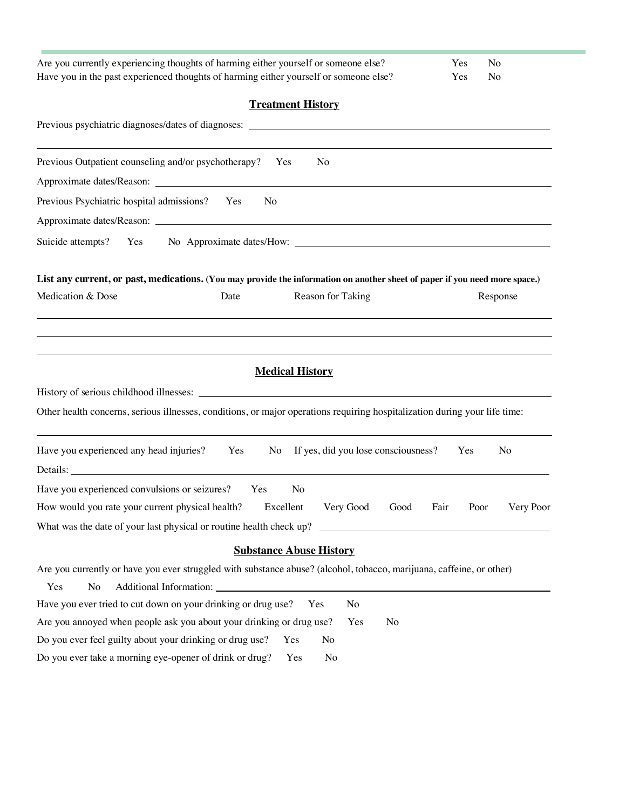| Are you currently experiencing thoughts of harming either yourself or someone else?<br>Have you in the past experienced thoughts of harming either yourself or someone else? | Yes<br>Yes   | No<br>No       |
|------------------------------------------------------------------------------------------------------------------------------------------------------------------------------|--------------|----------------|
|                                                                                                                                                                              |              |                |
| <b>Treatment History</b>                                                                                                                                                     |              |                |
| Previous psychiatric diagnoses/dates of diagnoses: _____________________________                                                                                             |              |                |
| Previous Outpatient counseling and/or psychotherapy?<br>Yes<br>N <sub>0</sub>                                                                                                |              |                |
|                                                                                                                                                                              |              |                |
| Previous Psychiatric hospital admissions? Yes<br>N <sub>o</sub>                                                                                                              |              |                |
|                                                                                                                                                                              |              |                |
| Suicide attempts?<br>Yes                                                                                                                                                     |              |                |
|                                                                                                                                                                              |              |                |
| List any current, or past, medications. (You may provide the information on another sheet of paper if you need more space.)                                                  |              |                |
| Medication & Dose<br>Reason for Taking<br>Date                                                                                                                               |              | Response       |
|                                                                                                                                                                              |              |                |
|                                                                                                                                                                              |              |                |
| <b>Medical History</b>                                                                                                                                                       |              |                |
|                                                                                                                                                                              |              |                |
| Other health concerns, serious illnesses, conditions, or major operations requiring hospitalization during your life time:                                                   |              |                |
| If yes, did you lose consciousness?<br>Have you experienced any head injuries?<br>Yes<br>No                                                                                  | Yes          | N <sub>o</sub> |
| Details:                                                                                                                                                                     |              |                |
| Have you experienced convulsions or seizures?<br>Yes<br>No                                                                                                                   |              |                |
| How would you rate your current physical health?<br>Excellent<br>Very Good<br>Good                                                                                           | Fair<br>Poor | Very Poor      |
| What was the date of your last physical or routine health check up?<br><u> 1980 - Andrea Station Barbara, amerikan per</u>                                                   |              |                |
| <b>Substance Abuse History</b>                                                                                                                                               |              |                |
| Are you currently or have you ever struggled with substance abuse? (alcohol, tobacco, marijuana, caffeine, or other)                                                         |              |                |
| Yes<br>No                                                                                                                                                                    |              |                |
| Have you ever tried to cut down on your drinking or drug use?<br>No<br>Yes                                                                                                   |              |                |
| Are you annoyed when people ask you about your drinking or drug use?<br>Yes<br>No                                                                                            |              |                |
| Do you ever feel guilty about your drinking or drug use?<br>Yes<br>No                                                                                                        |              |                |
| Do you ever take a morning eye-opener of drink or drug?<br>Yes<br>No                                                                                                         |              |                |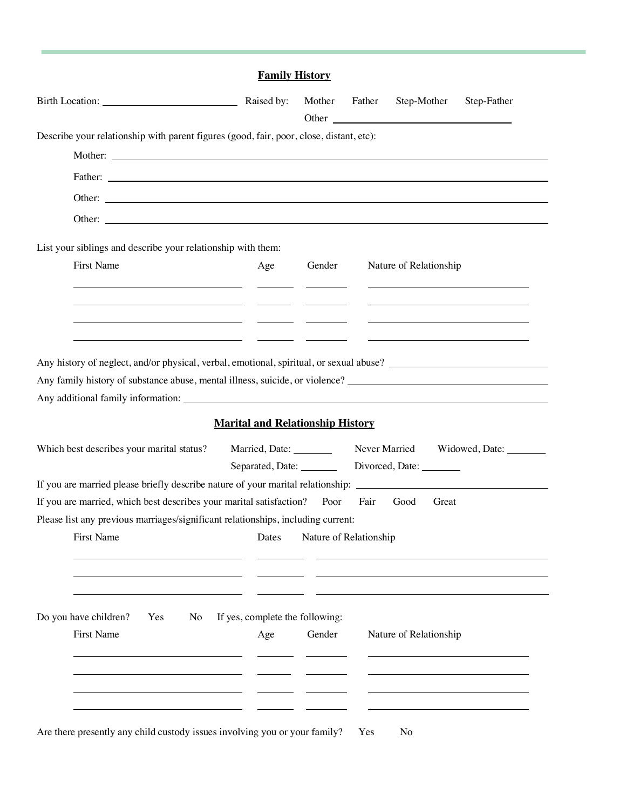|                                                                                                                                                                                                                                | <b>Family History</b>                   |                        |        |                                                                                                                                                                                                                                               |                         |
|--------------------------------------------------------------------------------------------------------------------------------------------------------------------------------------------------------------------------------|-----------------------------------------|------------------------|--------|-----------------------------------------------------------------------------------------------------------------------------------------------------------------------------------------------------------------------------------------------|-------------------------|
|                                                                                                                                                                                                                                | Raised by:                              | Mother                 | Father | Step-Mother<br>Other contains the containing of the containing of the contact of the contact of the contact of the contact of the contact of the contact of the contact of the contact of the contact of the contact of the contact of the co | Step-Father             |
| Describe your relationship with parent figures (good, fair, poor, close, distant, etc):                                                                                                                                        |                                         |                        |        |                                                                                                                                                                                                                                               |                         |
|                                                                                                                                                                                                                                |                                         |                        |        |                                                                                                                                                                                                                                               |                         |
|                                                                                                                                                                                                                                |                                         |                        |        |                                                                                                                                                                                                                                               |                         |
| Other: example, the contract of the contract of the contract of the contract of the contract of the contract of the contract of the contract of the contract of the contract of the contract of the contract of the contract o |                                         |                        |        |                                                                                                                                                                                                                                               |                         |
|                                                                                                                                                                                                                                |                                         |                        |        |                                                                                                                                                                                                                                               |                         |
| List your siblings and describe your relationship with them:                                                                                                                                                                   |                                         |                        |        |                                                                                                                                                                                                                                               |                         |
| First Name                                                                                                                                                                                                                     | Age                                     | Gender                 |        | Nature of Relationship                                                                                                                                                                                                                        |                         |
|                                                                                                                                                                                                                                |                                         |                        |        |                                                                                                                                                                                                                                               |                         |
|                                                                                                                                                                                                                                |                                         |                        |        |                                                                                                                                                                                                                                               |                         |
|                                                                                                                                                                                                                                |                                         |                        |        |                                                                                                                                                                                                                                               |                         |
| Any family history of substance abuse, mental illness, suicide, or violence?                                                                                                                                                   |                                         |                        |        |                                                                                                                                                                                                                                               |                         |
|                                                                                                                                                                                                                                | <b>Marital and Relationship History</b> |                        |        |                                                                                                                                                                                                                                               |                         |
| Which best describes your marital status?                                                                                                                                                                                      | Married, Date: ________                 |                        |        | Never Married                                                                                                                                                                                                                                 | Widowed, Date: ________ |
| If you are married please briefly describe nature of your marital relationship: ______________________________                                                                                                                 | Separated, Date:                        |                        |        | Divorced, Date:                                                                                                                                                                                                                               |                         |
| If you are married, which best describes your marital satisfaction? Poor                                                                                                                                                       |                                         |                        | Fair   | Good<br>Great                                                                                                                                                                                                                                 |                         |
| Please list any previous marriages/significant relationships, including current:                                                                                                                                               |                                         |                        |        |                                                                                                                                                                                                                                               |                         |
|                                                                                                                                                                                                                                |                                         |                        |        |                                                                                                                                                                                                                                               |                         |
| First Name                                                                                                                                                                                                                     | Dates                                   | Nature of Relationship |        |                                                                                                                                                                                                                                               |                         |
|                                                                                                                                                                                                                                |                                         |                        |        |                                                                                                                                                                                                                                               |                         |
|                                                                                                                                                                                                                                |                                         |                        |        |                                                                                                                                                                                                                                               |                         |
|                                                                                                                                                                                                                                |                                         |                        |        |                                                                                                                                                                                                                                               |                         |
| Yes<br>No                                                                                                                                                                                                                      | If yes, complete the following:         |                        |        |                                                                                                                                                                                                                                               |                         |
| <b>First Name</b>                                                                                                                                                                                                              | Age                                     | Gender                 |        | Nature of Relationship                                                                                                                                                                                                                        |                         |
|                                                                                                                                                                                                                                |                                         |                        |        |                                                                                                                                                                                                                                               |                         |
| Do you have children?                                                                                                                                                                                                          |                                         |                        |        |                                                                                                                                                                                                                                               |                         |
|                                                                                                                                                                                                                                |                                         |                        |        |                                                                                                                                                                                                                                               |                         |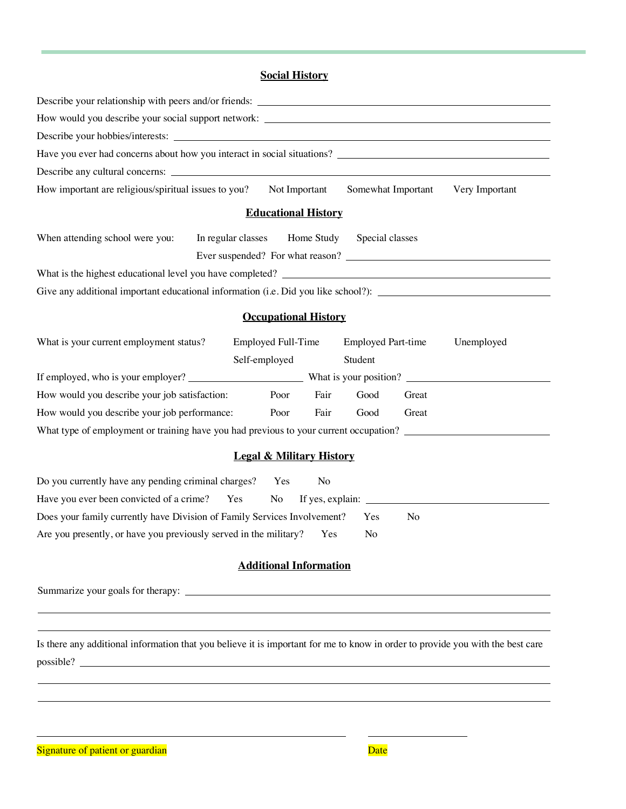# **Social History**

| How would you describe your social support network: ____________________________                                                     |  |
|--------------------------------------------------------------------------------------------------------------------------------------|--|
|                                                                                                                                      |  |
|                                                                                                                                      |  |
|                                                                                                                                      |  |
| How important are religious/spiritual issues to you?<br>Not Important<br>Somewhat Important<br>Very Important                        |  |
| <b>Educational History</b>                                                                                                           |  |
| When attending school were you:<br>In regular classes<br>Home Study<br>Special classes                                               |  |
|                                                                                                                                      |  |
|                                                                                                                                      |  |
| Give any additional important educational information (i.e. Did you like school?): ___________________________                       |  |
| <b>Occupational History</b>                                                                                                          |  |
| What is your current employment status?<br>Employed Full-Time<br><b>Employed Part-time</b><br>Unemployed<br>Self-employed<br>Student |  |
|                                                                                                                                      |  |
| How would you describe your job satisfaction:<br>Fair<br>Good<br>Poor<br>Great                                                       |  |
| How would you describe your job performance:<br>Poor<br>Great<br>Fair<br>Good                                                        |  |
| What type of employment or training have you had previous to your current occupation?                                                |  |
| <b>Legal &amp; Military History</b>                                                                                                  |  |
| Do you currently have any pending criminal charges?<br>No<br>Yes                                                                     |  |
| Have you ever been convicted of a crime? Yes<br>No                                                                                   |  |
| Does your family currently have Division of Family Services Involvement?<br>No<br>Yes                                                |  |
| Are you presently, or have you previously served in the military?<br>No<br>Yes                                                       |  |
| <b>Additional Information</b>                                                                                                        |  |
|                                                                                                                                      |  |
|                                                                                                                                      |  |
| Is there any additional information that you believe it is important for me to know in order to provide you with the best care       |  |

possible?

Signature of patient or guardian discussed by the set of patients of patients of patients of patients of patients of  $\mathbf{Date}$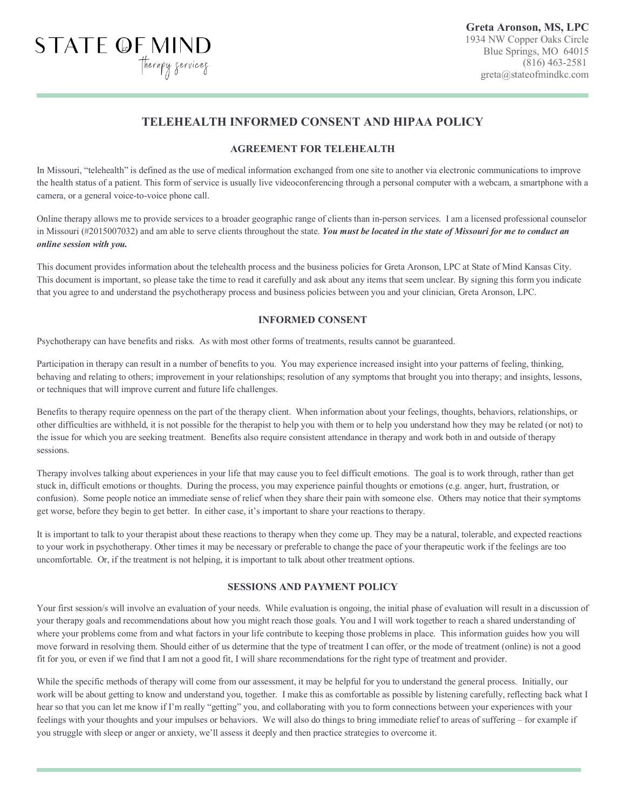# **TELEHEALTH INFORMED CONSENT AND HIPAA POLICY**

## **AGREEMENT FOR TELEHEALTH**

In Missouri, "telehealth" is defined as the use of medical information exchanged from one site to another via electronic communications to improve the health status of a patient. This form of service is usually live videoconferencing through a personal computer with a webcam, a smartphone with a camera, or a general voice-to-voice phone call.

Online therapy allows me to provide services to a broader geographic range of clients than in-person services. I am a licensed professional counselor in Missouri (#2015007032) and am able to serve clients throughout the state. *You must be located in the state of Missouri for me to conduct an online session with you.* 

This document provides information about the telehealth process and the business policies for Greta Aronson, LPC at State of Mind Kansas City. This document is important, so please take the time to read it carefully and ask about any items that seem unclear. By signing this form you indicate that you agree to and understand the psychotherapy process and business policies between you and your clinician, Greta Aronson, LPC.

## **INFORMED CONSENT**

Psychotherapy can have benefits and risks. As with most other forms of treatments, results cannot be guaranteed.

STATE OF MIND

Participation in therapy can result in a number of benefits to you. You may experience increased insight into your patterns of feeling, thinking, behaving and relating to others; improvement in your relationships; resolution of any symptoms that brought you into therapy; and insights, lessons, or techniques that will improve current and future life challenges.

Benefits to therapy require openness on the part of the therapy client. When information about your feelings, thoughts, behaviors, relationships, or other difficulties are withheld, it is not possible for the therapist to help you with them or to help you understand how they may be related (or not) to the issue for which you are seeking treatment. Benefits also require consistent attendance in therapy and work both in and outside of therapy sessions.

Therapy involves talking about experiences in your life that may cause you to feel difficult emotions. The goal is to work through, rather than get stuck in, difficult emotions or thoughts. During the process, you may experience painful thoughts or emotions (e.g. anger, hurt, frustration, or confusion). Some people notice an immediate sense of relief when they share their pain with someone else. Others may notice that their symptoms get worse, before they begin to get better. In either case, it's important to share your reactions to therapy.

It is important to talk to your therapist about these reactions to therapy when they come up. They may be a natural, tolerable, and expected reactions to your work in psychotherapy. Other times it may be necessary or preferable to change the pace of your therapeutic work if the feelings are too uncomfortable. Or, if the treatment is not helping, it is important to talk about other treatment options.

#### **SESSIONS AND PAYMENT POLICY**

Your first session/s will involve an evaluation of your needs. While evaluation is ongoing, the initial phase of evaluation will result in a discussion of your therapy goals and recommendations about how you might reach those goals. You and I will work together to reach a shared understanding of where your problems come from and what factors in your life contribute to keeping those problems in place. This information guides how you will move forward in resolving them. Should either of us determine that the type of treatment I can offer, or the mode of treatment (online) is not a good fit for you, or even if we find that I am not a good fit, I will share recommendations for the right type of treatment and provider.

While the specific methods of therapy will come from our assessment, it may be helpful for you to understand the general process. Initially, our work will be about getting to know and understand you, together. I make this as comfortable as possible by listening carefully, reflecting back what I hear so that you can let me know if I'm really "getting" you, and collaborating with you to form connections between your experiences with your feelings with your thoughts and your impulses or behaviors. We will also do things to bring immediate relief to areas of suffering – for example if you struggle with sleep or anger or anxiety, we'll assess it deeply and then practice strategies to overcome it.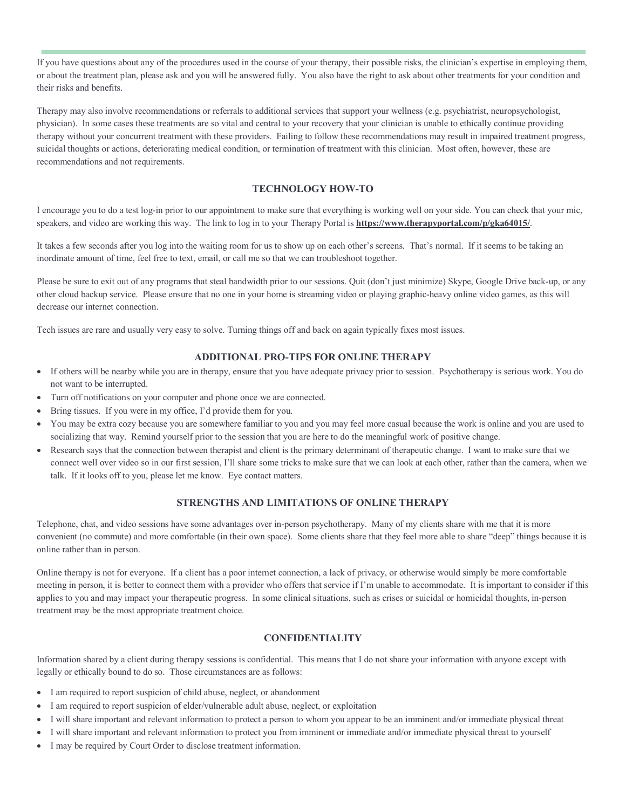If you have questions about any of the procedures used in the course of your therapy, their possible risks, the clinician's expertise in employing them, or about the treatment plan, please ask and you will be answered fully. You also have the right to ask about other treatments for your condition and their risks and benefits.

Therapy may also involve recommendations or referrals to additional services that support your wellness (e.g. psychiatrist, neuropsychologist, physician). In some cases these treatments are so vital and central to your recovery that your clinician is unable to ethically continue providing therapy without your concurrent treatment with these providers. Failing to follow these recommendations may result in impaired treatment progress, suicidal thoughts or actions, deteriorating medical condition, or termination of treatment with this clinician. Most often, however, these are recommendations and not requirements.

#### **TECHNOLOGY HOW-TO**

I encourage you to do a test log-in prior to our appointment to make sure that everything is working well on your side. You can check that your mic, speakers, and video are working this way. The link to log in to your Therapy Portal is **https://www.therapyportal.com/p/gka64015/**.

It takes a few seconds after you log into the waiting room for us to show up on each other's screens. That's normal. If it seems to be taking an inordinate amount of time, feel free to text, email, or call me so that we can troubleshoot together.

Please be sure to exit out of any programs that steal bandwidth prior to our sessions. Quit (don't just minimize) Skype, Google Drive back-up, or any other cloud backup service. Please ensure that no one in your home is streaming video or playing graphic-heavy online video games, as this will decrease our internet connection.

Tech issues are rare and usually very easy to solve. Turning things off and back on again typically fixes most issues.

## **ADDITIONAL PRO-TIPS FOR ONLINE THERAPY**

- If others will be nearby while you are in therapy, ensure that you have adequate privacy prior to session. Psychotherapy is serious work. You do not want to be interrupted.
- Turn off notifications on your computer and phone once we are connected.
- Bring tissues. If you were in my office, I'd provide them for you.
- You may be extra cozy because you are somewhere familiar to you and you may feel more casual because the work is online and you are used to socializing that way. Remind yourself prior to the session that you are here to do the meaningful work of positive change.
- Research says that the connection between therapist and client is the primary determinant of therapeutic change. I want to make sure that we connect well over video so in our first session, I'll share some tricks to make sure that we can look at each other, rather than the camera, when we talk. If it looks off to you, please let me know. Eye contact matters.

#### **STRENGTHS AND LIMITATIONS OF ONLINE THERAPY**

Telephone, chat, and video sessions have some advantages over in-person psychotherapy. Many of my clients share with me that it is more convenient (no commute) and more comfortable (in their own space). Some clients share that they feel more able to share "deep" things because it is online rather than in person.

Online therapy is not for everyone. If a client has a poor internet connection, a lack of privacy, or otherwise would simply be more comfortable meeting in person, it is better to connect them with a provider who offers that service if I'm unable to accommodate. It is important to consider if this applies to you and may impact your therapeutic progress. In some clinical situations, such as crises or suicidal or homicidal thoughts, in-person treatment may be the most appropriate treatment choice.

#### **CONFIDENTIALITY**

Information shared by a client during therapy sessions is confidential. This means that I do not share your information with anyone except with legally or ethically bound to do so. Those circumstances are as follows:

- I am required to report suspicion of child abuse, neglect, or abandonment
- I am required to report suspicion of elder/vulnerable adult abuse, neglect, or exploitation
- I will share important and relevant information to protect a person to whom you appear to be an imminent and/or immediate physical threat
- I will share important and relevant information to protect you from imminent or immediate and/or immediate physical threat to yourself
- I may be required by Court Order to disclose treatment information.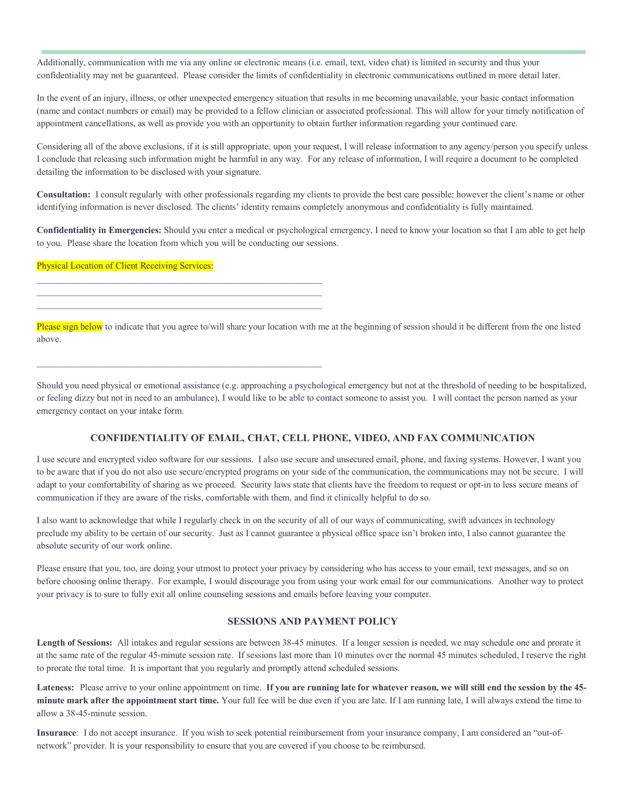Additionally, communication with me via any online or electronic means (i.e. email, text, video chat) is limited in security and thus your confidentiality may not be guaranteed. Please consider the limits of confidentiality in electronic communications outlined in more detail later.

In the event of an injury, illness, or other unexpected emergency situation that results in me becoming unavailable, your basic contact information (name and contact numbers or email) may be provided to a fellow clinician or associated professional. This will allow for your timely notification of appointment cancellations, as well as provide you with an opportunity to obtain further information regarding your continued care.

Considering all of the above exclusions, if it is still appropriate, upon your request, I will release information to any agency/person you specify unless I conclude that releasing such information might be harmful in any way. For any release of information, I will require a document to be completed detailing the information to be disclosed with your signature.

**Consultation:** I consult regularly with other professionals regarding my clients to provide the best care possible; however the client's name or other identifying information is never disclosed. The clients' identity remains completely anonymous and confidentiality is fully maintained.

**Confidentiality in Emergencies:** Should you enter a medical or psychological emergency, I need to know your location so that I am able to get help to you. Please share the location from which you will be conducting our sessions.

Physical Location of Client Receiving Services:

 $\mathcal{L}_\text{max}$  and the contract of the contract of the contract of the contract of the contract of the contract of

Please sign below to indicate that you agree to/will share your location with me at the beginning of session should it be different from the one listed above.

Should you need physical or emotional assistance (e.g. approaching a psychological emergency but not at the threshold of needing to be hospitalized, or feeling dizzy but not in need to an ambulance), I would like to be able to contact someone to assist you. I will contact the person named as your emergency contact on your intake form.

#### **CONFIDENTIALITY OF EMAIL, CHAT, CELL PHONE, VIDEO, AND FAX COMMUNICATION**

I use secure and encrypted video software for our sessions. I also use secure and unsecured email, phone, and faxing systems. However, I want you to be aware that if you do not also use secure/encrypted programs on your side of the communication, the communications may not be secure. I will adapt to your comfortability of sharing as we proceed. Security laws state that clients have the freedom to request or opt-in to less secure means of communication if they are aware of the risks, comfortable with them, and find it clinically helpful to do so.

I also want to acknowledge that while I regularly check in on the security of all of our ways of communicating, swift advances in technology preclude my ability to be certain of our security. Just as I cannot guarantee a physical office space isn't broken into, I also cannot guarantee the absolute security of our work online.

Please ensure that you, too, are doing your utmost to protect your privacy by considering who has access to your email, text messages, and so on before choosing online therapy. For example, I would discourage you from using your work email for our communications. Another way to protect your privacy is to sure to fully exit all online counseling sessions and emails before leaving your computer.

#### **SESSIONS AND PAYMENT POLICY**

**Length of Sessions:** All intakes and regular sessions are between 38-45 minutes. If a longer session is needed, we may schedule one and prorate it at the same rate of the regular 45-minute session rate. If sessions last more than 10 minutes over the normal 45 minutes scheduled, I reserve the right to prorate the total time. It is important that you regularly and promptly attend scheduled sessions.

**Lateness:** Please arrive to your online appointment on time. **If you are running late for whatever reason, we will still end the session by the 45 minute mark after the appointment start time.** Your full fee will be due even if you are late. If I am running late, I will always extend the time to allow a 38-45-minute session.

**Insurance**: I do not accept insurance. If you wish to seek potential reimbursement from your insurance company, I am considered an "out-ofnetwork" provider. It is your responsibility to ensure that you are covered if you choose to be reimbursed.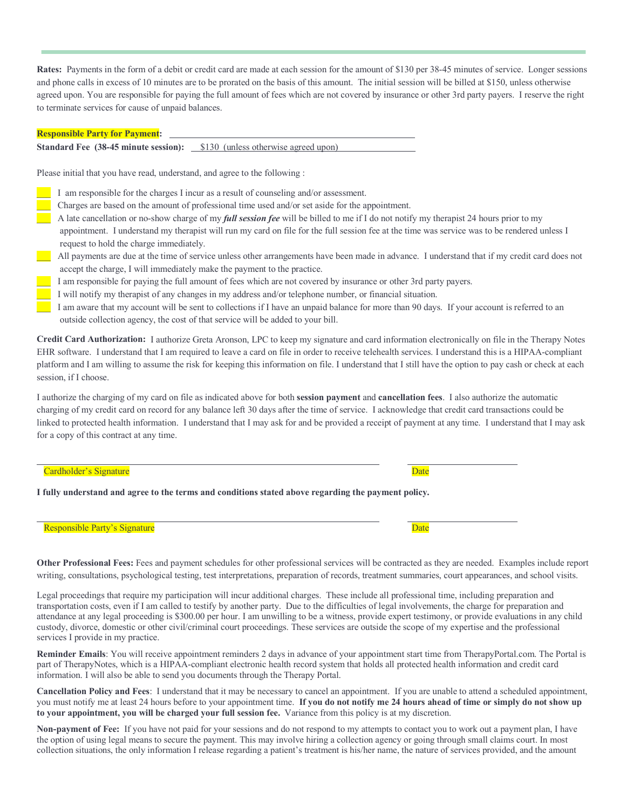**Rates:** Payments in the form of a debit or credit card are made at each session for the amount of \$130 per 38-45 minutes of service. Longer sessions and phone calls in excess of 10 minutes are to be prorated on the basis of this amount. The initial session will be billed at \$150, unless otherwise agreed upon. You are responsible for paying the full amount of fees which are not covered by insurance or other 3rd party payers. I reserve the right to terminate services for cause of unpaid balances.

#### **Responsible Party for Payment:**

**Standard Fee (38-45 minute session):** \$130 (unless otherwise agreed upon)

Please initial that you have read, understand, and agree to the following :

- I am responsible for the charges I incur as a result of counseling and/or assessment.
- \_\_\_ Charges are based on the amount of professional time used and/or set aside for the appointment.
- \_\_\_ A late cancellation or no-show charge of my *full session fee* will be billed to me if I do not notify my therapist 24 hours prior to my appointment. I understand my therapist will run my card on file for the full session fee at the time was service was to be rendered unless I request to hold the charge immediately.
- \_\_\_ All payments are due at the time of service unless other arrangements have been made in advance. I understand that if my credit card does not accept the charge, I will immediately make the payment to the practice.
- I am responsible for paying the full amount of fees which are not covered by insurance or other 3rd party payers.
- I will notify my therapist of any changes in my address and/or telephone number, or financial situation.
- I am aware that my account will be sent to collections if I have an unpaid balance for more than 90 days. If your account is referred to an outside collection agency, the cost of that service will be added to your bill.

**Credit Card Authorization:** I authorize Greta Aronson, LPC to keep my signature and card information electronically on file in the Therapy Notes EHR software. I understand that I am required to leave a card on file in order to receive telehealth services. I understand this is a HIPAA-compliant platform and I am willing to assume the risk for keeping this information on file. I understand that I still have the option to pay cash or check at each session, if I choose.

I authorize the charging of my card on file as indicated above for both **session payment** and **cancellation fees**. I also authorize the automatic charging of my credit card on record for any balance left 30 days after the time of service. I acknowledge that credit card transactions could be linked to protected health information. I understand that I may ask for and be provided a receipt of payment at any time. I understand that I may ask for a copy of this contract at any time.

#### **Cardholder's Signature** Date **Date** Date of *Cardholder's Signature* Date of *Date* Date of *Date* Date of *Date* Date of *Date* of *Date* of *Date* of *Date* of *Date* of *Date* of *Date* of *Date* of *Date* of *Date* of

**I fully understand and agree to the terms and conditions stated above regarding the payment policy.** 

| <b>Responsible Party's Signature</b> |  | Date |
|--------------------------------------|--|------|
|--------------------------------------|--|------|

**Other Professional Fees:** Fees and payment schedules for other professional services will be contracted as they are needed. Examples include report writing, consultations, psychological testing, test interpretations, preparation of records, treatment summaries, court appearances, and school visits.

Legal proceedings that require my participation will incur additional charges. These include all professional time, including preparation and transportation costs, even if I am called to testify by another party. Due to the difficulties of legal involvements, the charge for preparation and attendance at any legal proceeding is \$300.00 per hour. I am unwilling to be a witness, provide expert testimony, or provide evaluations in any child custody, divorce, domestic or other civil/criminal court proceedings. These services are outside the scope of my expertise and the professional services I provide in my practice.

**Reminder Emails**: You will receive appointment reminders 2 days in advance of your appointment start time from TherapyPortal.com. The Portal is part of TherapyNotes, which is a HIPAA-compliant electronic health record system that holds all protected health information and credit card information. I will also be able to send you documents through the Therapy Portal.

**Cancellation Policy and Fees**: I understand that it may be necessary to cancel an appointment. If you are unable to attend a scheduled appointment, you must notify me at least 24 hours before to your appointment time. **If you do not notify me 24 hours ahead of time or simply do not show up to your appointment, you will be charged your full session fee.** Variance from this policy is at my discretion.

**Non-payment of Fee:** If you have not paid for your sessions and do not respond to my attempts to contact you to work out a payment plan, I have the option of using legal means to secure the payment. This may involve hiring a collection agency or going through small claims court. In most collection situations, the only information I release regarding a patient's treatment is his/her name, the nature of services provided, and the amount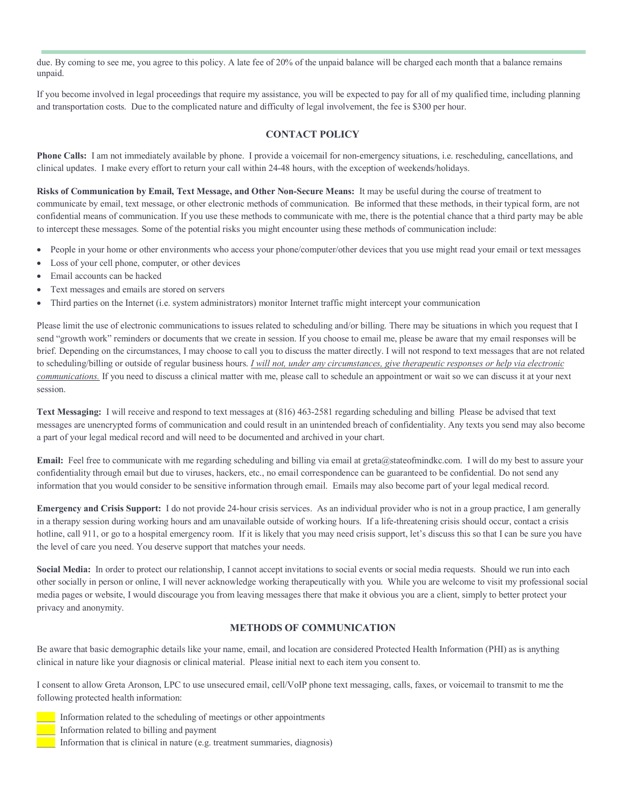due. By coming to see me, you agree to this policy. A late fee of 20% of the unpaid balance will be charged each month that a balance remains unpaid.

If you become involved in legal proceedings that require my assistance, you will be expected to pay for all of my qualified time, including planning and transportation costs. Due to the complicated nature and difficulty of legal involvement, the fee is \$300 per hour.

## **CONTACT POLICY**

**Phone Calls:** I am not immediately available by phone. I provide a voicemail for non-emergency situations, i.e. rescheduling, cancellations, and clinical updates. I make every effort to return your call within 24-48 hours, with the exception of weekends/holidays.

**Risks of Communication by Email, Text Message, and Other Non-Secure Means:** It may be useful during the course of treatment to communicate by email, text message, or other electronic methods of communication. Be informed that these methods, in their typical form, are not confidential means of communication. If you use these methods to communicate with me, there is the potential chance that a third party may be able to intercept these messages. Some of the potential risks you might encounter using these methods of communication include:

- People in your home or other environments who access your phone/computer/other devices that you use might read your email or text messages
- Loss of your cell phone, computer, or other devices
- Email accounts can be hacked
- Text messages and emails are stored on servers
- Third parties on the Internet (i.e. system administrators) monitor Internet traffic might intercept your communication

Please limit the use of electronic communications to issues related to scheduling and/or billing. There may be situations in which you request that I send "growth work" reminders or documents that we create in session. If you choose to email me, please be aware that my email responses will be brief. Depending on the circumstances, I may choose to call you to discuss the matter directly. I will not respond to text messages that are not related to scheduling/billing or outside of regular business hours. *I will not, under any circumstances, give therapeutic responses or help via electronic communications.* If you need to discuss a clinical matter with me, please call to schedule an appointment or wait so we can discuss it at your next session.

**Text Messaging:** I will receive and respond to text messages at (816) 463-2581 regarding scheduling and billing Please be advised that text messages are unencrypted forms of communication and could result in an unintended breach of confidentiality. Any texts you send may also become a part of your legal medical record and will need to be documented and archived in your chart.

**Email:** Feel free to communicate with me regarding scheduling and billing via email at greta@stateofmindkc.com. I will do my best to assure your confidentiality through email but due to viruses, hackers, etc., no email correspondence can be guaranteed to be confidential. Do not send any information that you would consider to be sensitive information through email. Emails may also become part of your legal medical record.

**Emergency and Crisis Support:** I do not provide 24-hour crisis services. As an individual provider who is not in a group practice, I am generally in a therapy session during working hours and am unavailable outside of working hours. If a life-threatening crisis should occur, contact a crisis hotline, call 911, or go to a hospital emergency room. If it is likely that you may need crisis support, let's discuss this so that I can be sure you have the level of care you need. You deserve support that matches your needs.

Social Media: In order to protect our relationship, I cannot accept invitations to social events or social media requests. Should we run into each other socially in person or online, I will never acknowledge working therapeutically with you. While you are welcome to visit my professional social media pages or website, I would discourage you from leaving messages there that make it obvious you are a client, simply to better protect your privacy and anonymity.

#### **METHODS OF COMMUNICATION**

Be aware that basic demographic details like your name, email, and location are considered Protected Health Information (PHI) as is anything clinical in nature like your diagnosis or clinical material. Please initial next to each item you consent to.

I consent to allow Greta Aronson, LPC to use unsecured email, cell/VoIP phone text messaging, calls, faxes, or voicemail to transmit to me the following protected health information:



Information related to the scheduling of meetings or other appointments

\_\_\_\_ Information related to billing and payment

Information that is clinical in nature (e.g. treatment summaries, diagnosis)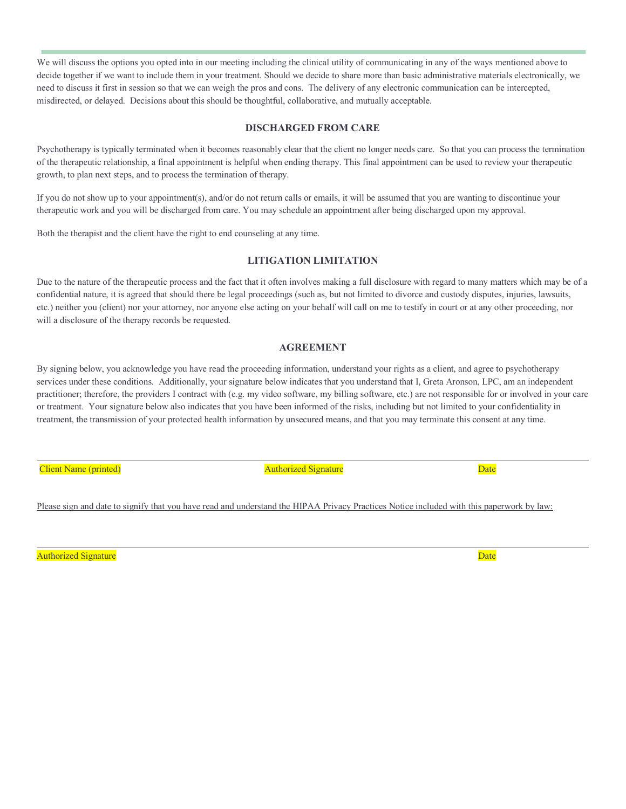We will discuss the options you opted into in our meeting including the clinical utility of communicating in any of the ways mentioned above to decide together if we want to include them in your treatment. Should we decide to share more than basic administrative materials electronically, we need to discuss it first in session so that we can weigh the pros and cons. The delivery of any electronic communication can be intercepted, misdirected, or delayed. Decisions about this should be thoughtful, collaborative, and mutually acceptable.

#### **DISCHARGED FROM CARE**

Psychotherapy is typically terminated when it becomes reasonably clear that the client no longer needs care. So that you can process the termination of the therapeutic relationship, a final appointment is helpful when ending therapy. This final appointment can be used to review your therapeutic growth, to plan next steps, and to process the termination of therapy.

If you do not show up to your appointment(s), and/or do not return calls or emails, it will be assumed that you are wanting to discontinue your therapeutic work and you will be discharged from care. You may schedule an appointment after being discharged upon my approval.

Both the therapist and the client have the right to end counseling at any time.

#### **LITIGATION LIMITATION**

Due to the nature of the therapeutic process and the fact that it often involves making a full disclosure with regard to many matters which may be of a confidential nature, it is agreed that should there be legal proceedings (such as, but not limited to divorce and custody disputes, injuries, lawsuits, etc.) neither you (client) nor your attorney, nor anyone else acting on your behalf will call on me to testify in court or at any other proceeding, nor will a disclosure of the therapy records be requested.

#### **AGREEMENT**

By signing below, you acknowledge you have read the proceeding information, understand your rights as a client, and agree to psychotherapy services under these conditions. Additionally, your signature below indicates that you understand that I, Greta Aronson, LPC, am an independent practitioner; therefore, the providers I contract with (e.g. my video software, my billing software, etc.) are not responsible for or involved in your care or treatment. Your signature below also indicates that you have been informed of the risks, including but not limited to your confidentiality in treatment, the transmission of your protected health information by unsecured means, and that you may terminate this consent at any time.

Client Name (printed) and the contract of the Authorized Signature and Date of Date

Please sign and date to signify that you have read and understand the HIPAA Privacy Practices Notice included with this paperwork by law:

Authorized Signature Date **Date** Date of the Contract of the Date of the Date of the Date of the Date of the Date of the Date of the Date of the Date of the Date of the Date of the Date of the Date of the Date of the Date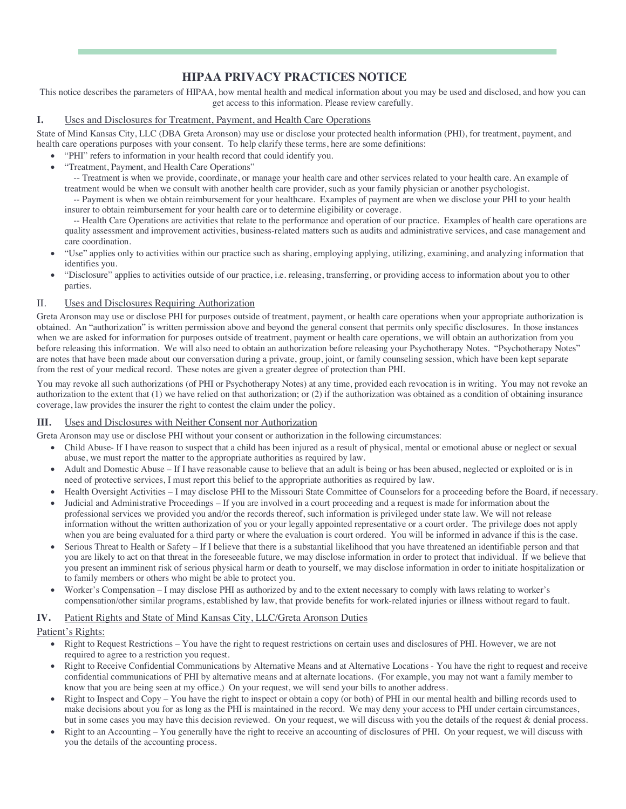# **HIPAA PRIVACY PRACTICES NOTICE**

This notice describes the parameters of HIPAA, how mental health and medical information about you may be used and disclosed, and how you can get access to this information. Please review carefully.

#### **I.** Uses and Disclosures for Treatment, Payment, and Health Care Operations

State of Mind Kansas City, LLC (DBA Greta Aronson) may use or disclose your protected health information (PHI), for treatment, payment, and health care operations purposes with your consent. To help clarify these terms, here are some definitions:

- "PHI" refers to information in your health record that could identify you.
- "Treatment, Payment, and Health Care Operations"

-- Treatment is when we provide, coordinate, or manage your health care and other services related to your health care. An example of treatment would be when we consult with another health care provider, such as your family physician or another psychologist.

-- Payment is when we obtain reimbursement for your healthcare. Examples of payment are when we disclose your PHI to your health insurer to obtain reimbursement for your health care or to determine eligibility or coverage.

-- Health Care Operations are activities that relate to the performance and operation of our practice. Examples of health care operations are quality assessment and improvement activities, business-related matters such as audits and administrative services, and case management and care coordination.

- "Use" applies only to activities within our practice such as sharing, employing applying, utilizing, examining, and analyzing information that identifies you.
- "Disclosure" applies to activities outside of our practice, i.e. releasing, transferring, or providing access to information about you to other parties.

#### II. Uses and Disclosures Requiring Authorization

Greta Aronson may use or disclose PHI for purposes outside of treatment, payment, or health care operations when your appropriate authorization is obtained. An "authorization" is written permission above and beyond the general consent that permits only specific disclosures. In those instances when we are asked for information for purposes outside of treatment, payment or health care operations, we will obtain an authorization from you before releasing this information. We will also need to obtain an authorization before releasing your Psychotherapy Notes. "Psychotherapy Notes" are notes that have been made about our conversation during a private, group, joint, or family counseling session, which have been kept separate from the rest of your medical record. These notes are given a greater degree of protection than PHI.

You may revoke all such authorizations (of PHI or Psychotherapy Notes) at any time, provided each revocation is in writing. You may not revoke an authorization to the extent that (1) we have relied on that authorization; or (2) if the authorization was obtained as a condition of obtaining insurance coverage, law provides the insurer the right to contest the claim under the policy.

#### **III.** Uses and Disclosures with Neither Consent nor Authorization

Greta Aronson may use or disclose PHI without your consent or authorization in the following circumstances:

- Child Abuse- If I have reason to suspect that a child has been injured as a result of physical, mental or emotional abuse or neglect or sexual abuse, we must report the matter to the appropriate authorities as required by law.
- Adult and Domestic Abuse If I have reasonable cause to believe that an adult is being or has been abused, neglected or exploited or is in need of protective services, I must report this belief to the appropriate authorities as required by law.
- Health Oversight Activities I may disclose PHI to the Missouri State Committee of Counselors for a proceeding before the Board, if necessary.
- Judicial and Administrative Proceedings If you are involved in a court proceeding and a request is made for information about the professional services we provided you and/or the records thereof, such information is privileged under state law. We will not release information without the written authorization of you or your legally appointed representative or a court order. The privilege does not apply when you are being evaluated for a third party or where the evaluation is court ordered. You will be informed in advance if this is the case.
- Serious Threat to Health or Safety If I believe that there is a substantial likelihood that you have threatened an identifiable person and that you are likely to act on that threat in the foreseeable future, we may disclose information in order to protect that individual. If we believe that you present an imminent risk of serious physical harm or death to yourself, we may disclose information in order to initiate hospitalization or to family members or others who might be able to protect you.
- Worker's Compensation I may disclose PHI as authorized by and to the extent necessary to comply with laws relating to worker's compensation/other similar programs, established by law, that provide benefits for work-related injuries or illness without regard to fault.

#### **IV.** Patient Rights and State of Mind Kansas City, LLC/Greta Aronson Duties

# Patient's Rights:

- Right to Request Restrictions You have the right to request restrictions on certain uses and disclosures of PHI. However, we are not required to agree to a restriction you request.
- Right to Receive Confidential Communications by Alternative Means and at Alternative Locations You have the right to request and receive confidential communications of PHI by alternative means and at alternate locations. (For example, you may not want a family member to know that you are being seen at my office.) On your request, we will send your bills to another address.
- Right to Inspect and Copy You have the right to inspect or obtain a copy (or both) of PHI in our mental health and billing records used to make decisions about you for as long as the PHI is maintained in the record. We may deny your access to PHI under certain circumstances, but in some cases you may have this decision reviewed. On your request, we will discuss with you the details of the request & denial process.
- Right to an Accounting You generally have the right to receive an accounting of disclosures of PHI. On your request, we will discuss with you the details of the accounting process.